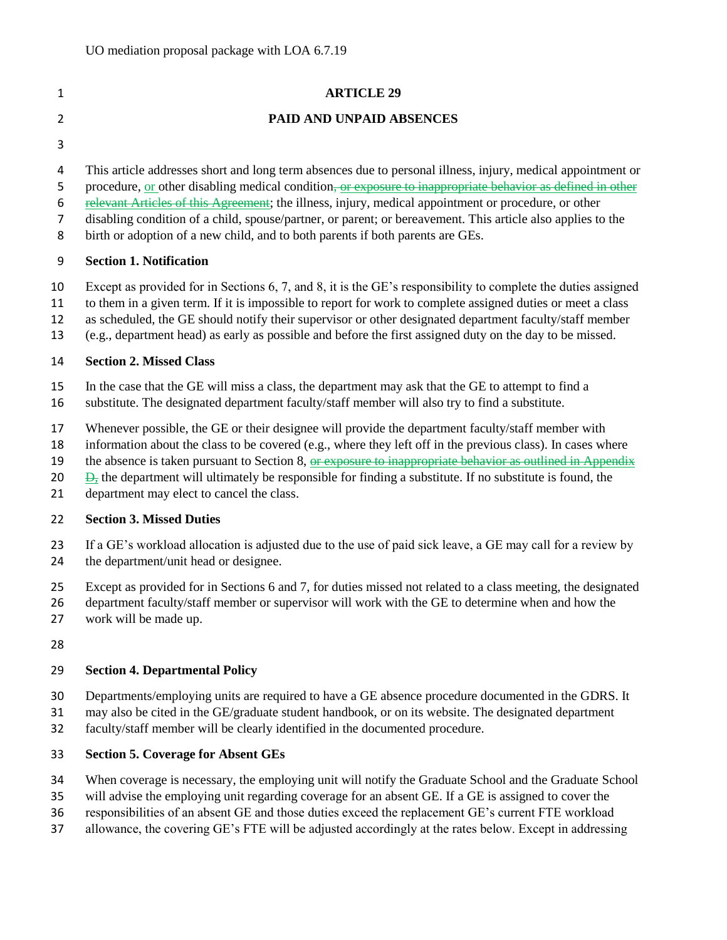| $\mathbf{1}$                       | <b>ARTICLE 29</b>                                                                                                                                                                                                                                                                                                                                                                                                                                                                                                                  |
|------------------------------------|------------------------------------------------------------------------------------------------------------------------------------------------------------------------------------------------------------------------------------------------------------------------------------------------------------------------------------------------------------------------------------------------------------------------------------------------------------------------------------------------------------------------------------|
| $\overline{2}$                     | PAID AND UNPAID ABSENCES                                                                                                                                                                                                                                                                                                                                                                                                                                                                                                           |
| 3                                  |                                                                                                                                                                                                                                                                                                                                                                                                                                                                                                                                    |
| 4<br>5<br>6<br>$\overline{7}$<br>8 | This article addresses short and long term absences due to personal illness, injury, medical appointment or<br>procedure, or other disabling medical condition, or exposure to inappropriate behavior as defined in other<br>relevant Articles of this Agreement; the illness, injury, medical appointment or procedure, or other<br>disabling condition of a child, spouse/partner, or parent; or bereavement. This article also applies to the<br>birth or adoption of a new child, and to both parents if both parents are GEs. |
| 9                                  | <b>Section 1. Notification</b>                                                                                                                                                                                                                                                                                                                                                                                                                                                                                                     |
| 10<br>11<br>12<br>13               | Except as provided for in Sections 6, 7, and 8, it is the GE's responsibility to complete the duties assigned<br>to them in a given term. If it is impossible to report for work to complete assigned duties or meet a class<br>as scheduled, the GE should notify their supervisor or other designated department faculty/staff member<br>(e.g., department head) as early as possible and before the first assigned duty on the day to be missed.                                                                                |
| 14                                 | <b>Section 2. Missed Class</b>                                                                                                                                                                                                                                                                                                                                                                                                                                                                                                     |
| 15<br>16                           | In the case that the GE will miss a class, the department may ask that the GE to attempt to find a<br>substitute. The designated department faculty/staff member will also try to find a substitute.                                                                                                                                                                                                                                                                                                                               |
| 17<br>18<br>19<br>20<br>21         | Whenever possible, the GE or their designee will provide the department faculty/staff member with<br>information about the class to be covered (e.g., where they left off in the previous class). In cases where<br>the absence is taken pursuant to Section 8, or exposure to inappropriate behavior as outlined in Appendix<br>$\frac{1}{2}$ the department will ultimately be responsible for finding a substitute. If no substitute is found, the<br>department may elect to cancel the class.                                 |
| 22                                 | <b>Section 3. Missed Duties</b>                                                                                                                                                                                                                                                                                                                                                                                                                                                                                                    |
| 23<br>24                           | If a GE's workload allocation is adjusted due to the use of paid sick leave, a GE may call for a review by<br>the department/unit head or designee.                                                                                                                                                                                                                                                                                                                                                                                |
| 25<br>26<br>27                     | Except as provided for in Sections 6 and 7, for duties missed not related to a class meeting, the designated<br>department faculty/staff member or supervisor will work with the GE to determine when and how the<br>work will be made up.                                                                                                                                                                                                                                                                                         |
| 28                                 |                                                                                                                                                                                                                                                                                                                                                                                                                                                                                                                                    |
| 29                                 | <b>Section 4. Departmental Policy</b>                                                                                                                                                                                                                                                                                                                                                                                                                                                                                              |
| 30<br>31<br>32                     | Departments/employing units are required to have a GE absence procedure documented in the GDRS. It<br>may also be cited in the GE/graduate student handbook, or on its website. The designated department<br>faculty/staff member will be clearly identified in the documented procedure.                                                                                                                                                                                                                                          |
| 33                                 | <b>Section 5. Coverage for Absent GEs</b>                                                                                                                                                                                                                                                                                                                                                                                                                                                                                          |
| 34                                 | When coverage is necessary, the employing unit will notify the Graduate School and the Graduate School                                                                                                                                                                                                                                                                                                                                                                                                                             |

- will advise the employing unit regarding coverage for an absent GE. If a GE is assigned to cover the
- responsibilities of an absent GE and those duties exceed the replacement GE's current FTE workload
- allowance, the covering GE's FTE will be adjusted accordingly at the rates below. Except in addressing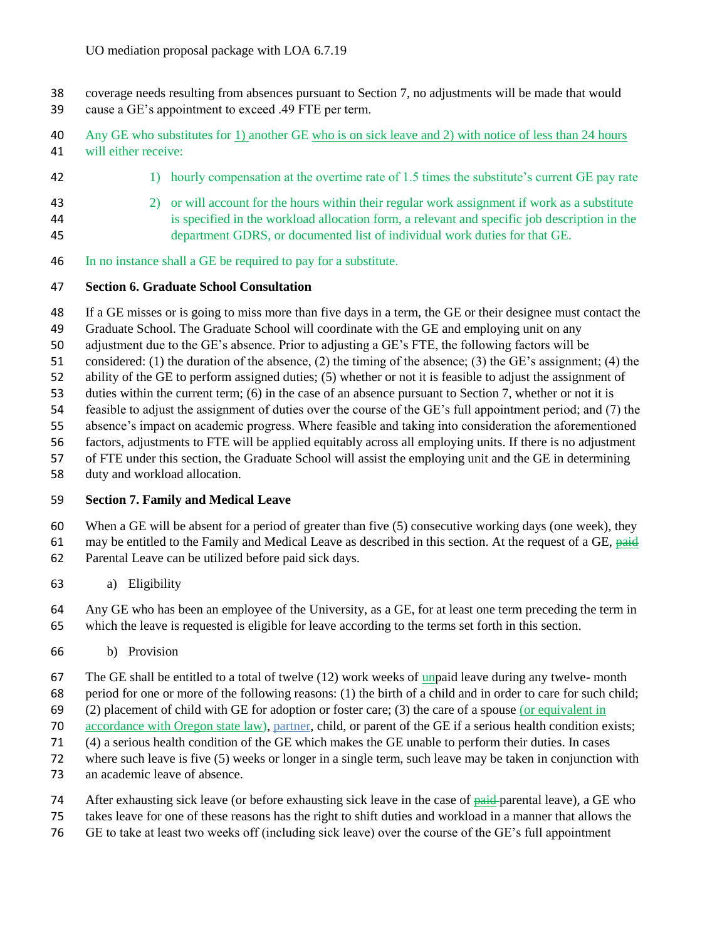- coverage needs resulting from absences pursuant to Section 7, no adjustments will be made that would
- cause a GE's appointment to exceed .49 FTE per term.
- Any GE who substitutes for 1) another GE who is on sick leave and 2) with notice of less than 24 hours will either receive:
- 42 1) hourly compensation at the overtime rate of 1.5 times the substitute's current GE pay rate
- 2) or will account for the hours within their regular work assignment if work as a substitute is specified in the workload allocation form, a relevant and specific job description in the department GDRS, or documented list of individual work duties for that GE.
- In no instance shall a GE be required to pay for a substitute.

## **Section 6. Graduate School Consultation**

- If a GE misses or is going to miss more than five days in a term, the GE or their designee must contact the
- Graduate School. The Graduate School will coordinate with the GE and employing unit on any
- adjustment due to the GE's absence. Prior to adjusting a GE's FTE, the following factors will be
- considered: (1) the duration of the absence, (2) the timing of the absence; (3) the GE's assignment; (4) the
- ability of the GE to perform assigned duties; (5) whether or not it is feasible to adjust the assignment of
- duties within the current term; (6) in the case of an absence pursuant to Section 7, whether or not it is
- feasible to adjust the assignment of duties over the course of the GE's full appointment period; and (7) the
- absence's impact on academic progress. Where feasible and taking into consideration the aforementioned
- factors, adjustments to FTE will be applied equitably across all employing units. If there is no adjustment
- of FTE under this section, the Graduate School will assist the employing unit and the GE in determining
- duty and workload allocation.

## **Section 7. Family and Medical Leave**

- When a GE will be absent for a period of greater than five (5) consecutive working days (one week), they
- 61 may be entitled to the Family and Medical Leave as described in this section. At the request of a GE, paid Parental Leave can be utilized before paid sick days.
- a) Eligibility
- Any GE who has been an employee of the University, as a GE, for at least one term preceding the term in which the leave is requested is eligible for leave according to the terms set forth in this section.
- b) Provision
- The GE shall be entitled to a total of twelve (12) work weeks of unpaid leave during any twelve- month
- period for one or more of the following reasons: (1) the birth of a child and in order to care for such child;
- (2) placement of child with GE for adoption or foster care; (3) the care of a spouse (or equivalent in
- accordance with Oregon state law), partner, child, or parent of the GE if a serious health condition exists;
- (4) a serious health condition of the GE which makes the GE unable to perform their duties. In cases
- where such leave is five (5) weeks or longer in a single term, such leave may be taken in conjunction with
- an academic leave of absence.
- 74 After exhausting sick leave (or before exhausting sick leave in the case of <del>paid p</del>arental leave), a GE who
- takes leave for one of these reasons has the right to shift duties and workload in a manner that allows the
- GE to take at least two weeks off (including sick leave) over the course of the GE's full appointment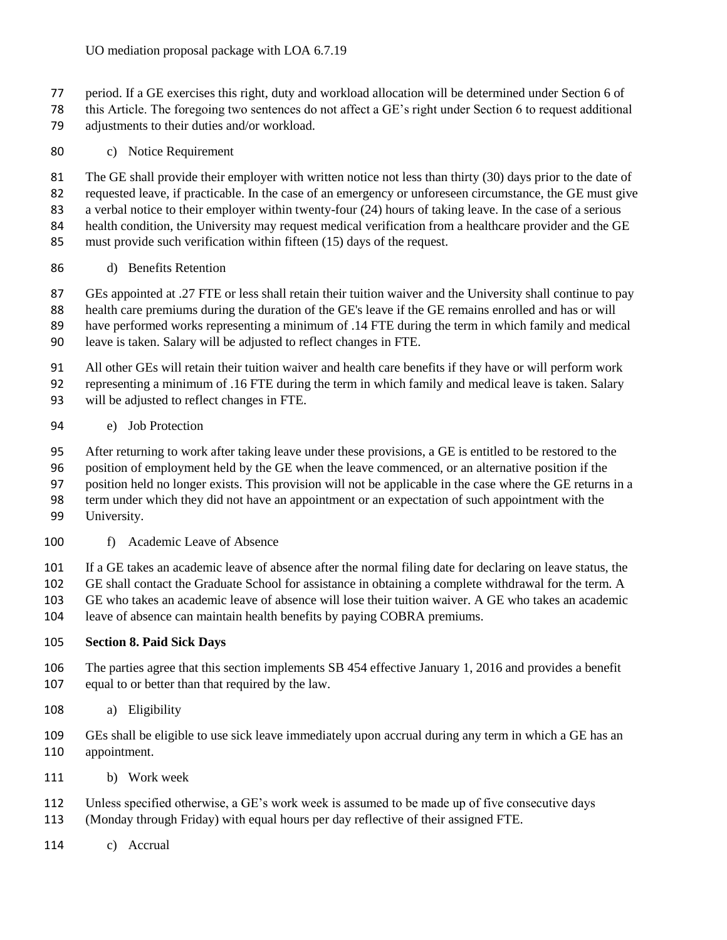- period. If a GE exercises this right, duty and workload allocation will be determined under Section 6 of
- this Article. The foregoing two sentences do not affect a GE's right under Section 6 to request additional adjustments to their duties and/or workload.
- c) Notice Requirement

 The GE shall provide their employer with written notice not less than thirty (30) days prior to the date of requested leave, if practicable. In the case of an emergency or unforeseen circumstance, the GE must give a verbal notice to their employer within twenty-four (24) hours of taking leave. In the case of a serious health condition, the University may request medical verification from a healthcare provider and the GE must provide such verification within fifteen (15) days of the request.

d) Benefits Retention

 GEs appointed at .27 FTE or less shall retain their tuition waiver and the University shall continue to pay health care premiums during the duration of the GE's leave if the GE remains enrolled and has or will have performed works representing a minimum of .14 FTE during the term in which family and medical

leave is taken. Salary will be adjusted to reflect changes in FTE.

 All other GEs will retain their tuition waiver and health care benefits if they have or will perform work representing a minimum of .16 FTE during the term in which family and medical leave is taken. Salary

- will be adjusted to reflect changes in FTE.
- e) Job Protection

After returning to work after taking leave under these provisions, a GE is entitled to be restored to the

position of employment held by the GE when the leave commenced, or an alternative position if the

position held no longer exists. This provision will not be applicable in the case where the GE returns in a

term under which they did not have an appointment or an expectation of such appointment with the

- University.
- f) Academic Leave of Absence

If a GE takes an academic leave of absence after the normal filing date for declaring on leave status, the

GE shall contact the Graduate School for assistance in obtaining a complete withdrawal for the term. A

GE who takes an academic leave of absence will lose their tuition waiver. A GE who takes an academic

leave of absence can maintain health benefits by paying COBRA premiums.

## **Section 8. Paid Sick Days**

- The parties agree that this section implements SB 454 effective January 1, 2016 and provides a benefit equal to or better than that required by the law.
- a) Eligibility
- GEs shall be eligible to use sick leave immediately upon accrual during any term in which a GE has an appointment.
- b) Work week
- Unless specified otherwise, a GE's work week is assumed to be made up of five consecutive days
- (Monday through Friday) with equal hours per day reflective of their assigned FTE.
- c) Accrual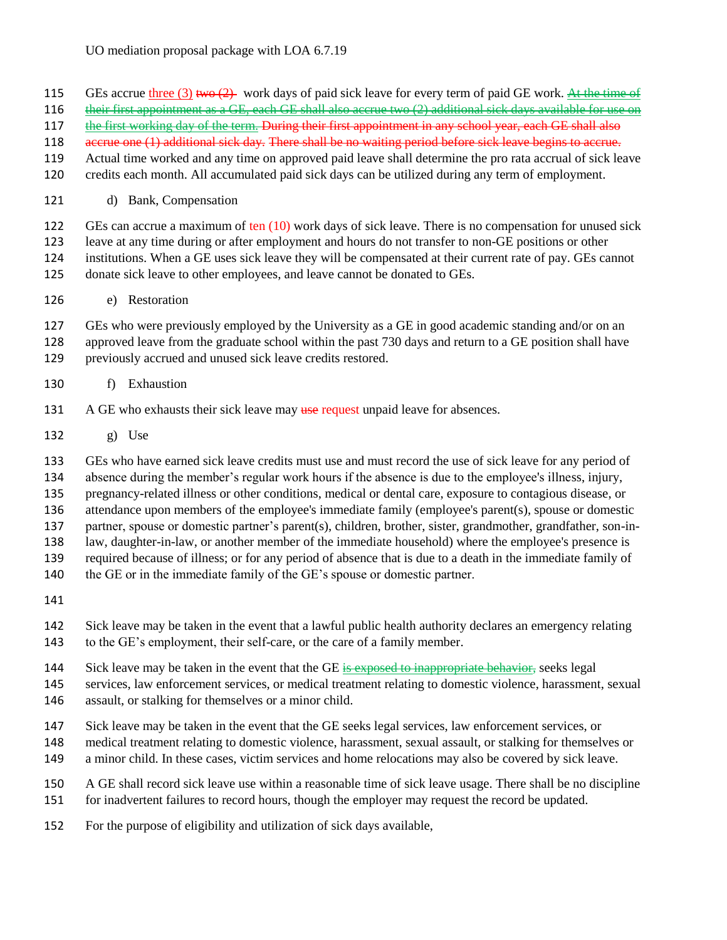## UO mediation proposal package with LOA 6.7.19

- 115 GEs accrue three (3) two  $(2)$  work days of paid sick leave for every term of paid GE work. At the time of
- 116 their first appointment as a GE, each GE shall also accrue two (2) additional sick days available for use on
- 117 the first working day of the term. During their first appointment in any school year, each GE shall also
- 118 accrue one (1) additional sick day. There shall be no waiting period before sick leave begins to accrue.
- Actual time worked and any time on approved paid leave shall determine the pro rata accrual of sick leave
- credits each month. All accumulated paid sick days can be utilized during any term of employment.
- d) Bank, Compensation

GEs can accrue a maximum of ten (10) work days of sick leave. There is no compensation for unused sick

leave at any time during or after employment and hours do not transfer to non-GE positions or other

institutions. When a GE uses sick leave they will be compensated at their current rate of pay. GEs cannot

- donate sick leave to other employees, and leave cannot be donated to GEs.
- e) Restoration

GEs who were previously employed by the University as a GE in good academic standing and/or on an

- approved leave from the graduate school within the past 730 days and return to a GE position shall have previously accrued and unused sick leave credits restored.
- f) Exhaustion
- 131 A GE who exhausts their sick leave may use request unpaid leave for absences.
- g) Use

GEs who have earned sick leave credits must use and must record the use of sick leave for any period of

absence during the member's regular work hours if the absence is due to the employee's illness, injury,

pregnancy-related illness or other conditions, medical or dental care, exposure to contagious disease, or

attendance upon members of the employee's immediate family (employee's parent(s), spouse or domestic

partner, spouse or domestic partner's parent(s), children, brother, sister, grandmother, grandfather, son-in-

law, daughter-in-law, or another member of the immediate household) where the employee's presence is

required because of illness; or for any period of absence that is due to a death in the immediate family of

140 the GE or in the immediate family of the GE's spouse or domestic partner.

- Sick leave may be taken in the event that a lawful public health authority declares an emergency relating to the GE's employment, their self-care, or the care of a family member.
- 144 Sick leave may be taken in the event that the GE is exposed to inappropriate behavior, seeks legal
- services, law enforcement services, or medical treatment relating to domestic violence, harassment, sexual assault, or stalking for themselves or a minor child.
- Sick leave may be taken in the event that the GE seeks legal services, law enforcement services, or
- medical treatment relating to domestic violence, harassment, sexual assault, or stalking for themselves or
- a minor child. In these cases, victim services and home relocations may also be covered by sick leave.
- A GE shall record sick leave use within a reasonable time of sick leave usage. There shall be no discipline for inadvertent failures to record hours, though the employer may request the record be updated.
- For the purpose of eligibility and utilization of sick days available,